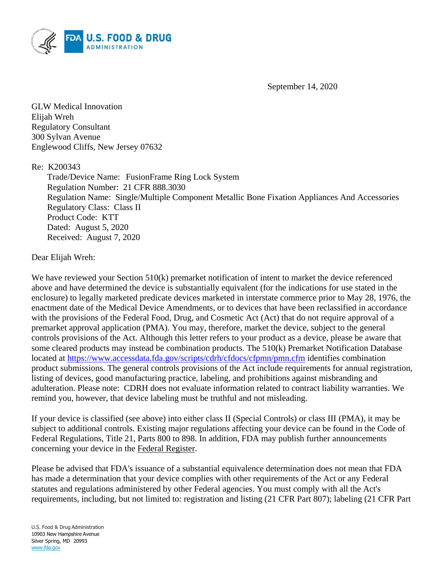

September 14, 2020

GLW Medical Innovation Elijah Wreh Regulatory Consultant 300 Sylvan Avenue Englewood Cliffs, New Jersey 07632

#### Re: K200343

Trade/Device Name: FusionFrame Ring Lock System Regulation Number: 21 CFR 888.3030 Regulation Name: Single/Multiple Component Metallic Bone Fixation Appliances And Accessories Regulatory Class: Class II Product Code: KTT Dated: August 5, 2020 Received: August 7, 2020

#### Dear Elijah Wreh:

We have reviewed your Section 510(k) premarket notification of intent to market the device referenced above and have determined the device is substantially equivalent (for the indications for use stated in the enclosure) to legally marketed predicate devices marketed in interstate commerce prior to May 28, 1976, the enactment date of the Medical Device Amendments, or to devices that have been reclassified in accordance with the provisions of the Federal Food, Drug, and Cosmetic Act (Act) that do not require approval of a premarket approval application (PMA). You may, therefore, market the device, subject to the general controls provisions of the Act. Although this letter refers to your product as a device, please be aware that some cleared products may instead be combination products. The 510(k) Premarket Notification Database located at<https://www.accessdata.fda.gov/scripts/cdrh/cfdocs/cfpmn/pmn.cfm> identifies combination product submissions. The general controls provisions of the Act include requirements for annual registration, listing of devices, good manufacturing practice, labeling, and prohibitions against misbranding and adulteration. Please note: CDRH does not evaluate information related to contract liability warranties. We remind you, however, that device labeling must be truthful and not misleading.

If your device is classified (see above) into either class II (Special Controls) or class III (PMA), it may be subject to additional controls. Existing major regulations affecting your device can be found in the Code of Federal Regulations, Title 21, Parts 800 to 898. In addition, FDA may publish further announcements concerning your device in the Federal Register.

Please be advised that FDA's issuance of a substantial equivalence determination does not mean that FDA has made a determination that your device complies with other requirements of the Act or any Federal statutes and regulations administered by other Federal agencies. You must comply with all the Act's requirements, including, but not limited to: registration and listing (21 CFR Part 807); labeling (21 CFR Part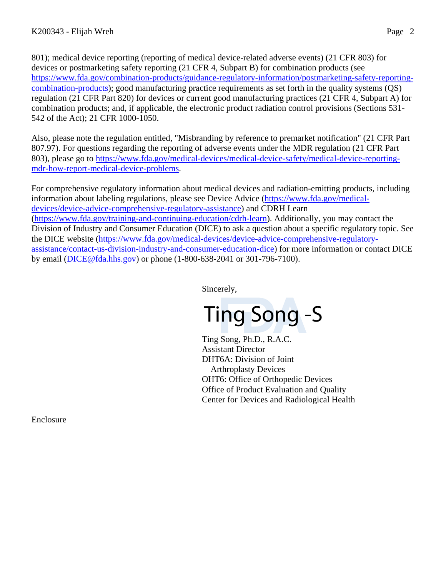801); medical device reporting (reporting of medical device-related adverse events) (21 CFR 803) for devices or postmarketing safety reporting (21 CFR 4, Subpart B) for combination products (see [https://www.fda.gov/combination-products/guidance-regulatory-information/postmarketing-safety-reporting](https://www.fda.gov/combination-products/guidance-regulatory-information/postmarketing-safety-reporting-combination-products)[combination-products\)](https://www.fda.gov/combination-products/guidance-regulatory-information/postmarketing-safety-reporting-combination-products); good manufacturing practice requirements as set forth in the quality systems (QS) regulation (21 CFR Part 820) for devices or current good manufacturing practices (21 CFR 4, Subpart A) for combination products; and, if applicable, the electronic product radiation control provisions (Sections 531- 542 of the Act); 21 CFR 1000-1050.

Also, please note the regulation entitled, "Misbranding by reference to premarket notification" (21 CFR Part 807.97). For questions regarding the reporting of adverse events under the MDR regulation (21 CFR Part 803), please go to [https://www.fda.gov/medical-devices/medical-device-safety/medical-device-reporting](https://www.fda.gov/medical-devices/medical-device-safety/medical-device-reporting-mdr-how-report-medical-device-problems)[mdr-how-report-medical-device-problems.](https://www.fda.gov/medical-devices/medical-device-safety/medical-device-reporting-mdr-how-report-medical-device-problems)

For comprehensive regulatory information about medical devices and radiation-emitting products, including information about labeling regulations, please see Device Advice [\(https://www.fda.gov/medical](https://www.fda.gov/medical-devices/device-advice-comprehensive-regulatory-assistance)[devices/device-advice-comprehensive-regulatory-assistance\)](https://www.fda.gov/medical-devices/device-advice-comprehensive-regulatory-assistance) and CDRH Learn [\(https://www.fda.gov/training-and-continuing-education/cdrh-learn\)](https://www.fda.gov/training-and-continuing-education/cdrh-learn). Additionally, you may contact the Division of Industry and Consumer Education (DICE) to ask a question about a specific regulatory topic. See the DICE website [\(https://www.fda.gov/medical-devices/device-advice-comprehensive-regulatory](https://www.fda.gov/medical-devices/device-advice-comprehensive-regulatory-assistance/contact-us-division-industry-and-consumer-education-dice)[assistance/contact-us-division-industry-and-consumer-education-dice\)](https://www.fda.gov/medical-devices/device-advice-comprehensive-regulatory-assistance/contact-us-division-industry-and-consumer-education-dice) for more information or contact DICE by email [\(DICE@fda.hhs.gov\)](mailto:%20DICE@fda.hhs.gov) or phone (1-800-638-2041 or 301-796-7100).

Sincerely,

Ting Song -S

Ting Song, Ph.D., R.A.C. Assistant Director DHT6A: Division of Joint Arthroplasty Devices OHT6: Office of Orthopedic Devices Office of Product Evaluation and Quality Center for Devices and Radiological Health

Enclosure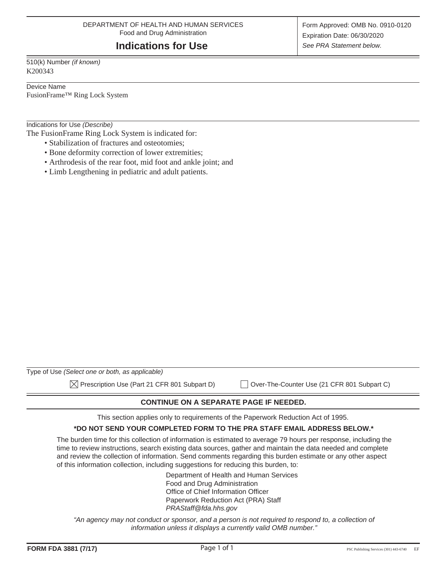## **Indications for Use**

510(k) Number *(if known)* K200343

Device Name

FusionFrame™ Ring Lock System

Indications for Use *(Describe)*

The FusionFrame Ring Lock System is indicated for:

- Stabilization of fractures and osteotomies;
- Bone deformity correction of lower extremities;
- Arthrodesis of the rear foot, mid foot and ankle joint; and
- Limb Lengthening in pediatric and adult patients.

| Type of Use (Select one or both, as applicable)          |                                             |
|----------------------------------------------------------|---------------------------------------------|
| $\boxtimes$ Prescription Use (Part 21 CFR 801 Subpart D) | Over-The-Counter Use (21 CFR 801 Subpart C) |

**CONTINUE ON A SEPARATE PAGE IF NEEDED.** 

This section applies only to requirements of the Paperwork Reduction Act of 1995.

#### **\*DO NOT SEND YOUR COMPLETED FORM TO THE PRA STAFF EMAIL ADDRESS BELOW.\***

The burden time for this collection of information is estimated to average 79 hours per response, including the time to review instructions, search existing data sources, gather and maintain the data needed and complete and review the collection of information. Send comments regarding this burden estimate or any other aspect of this information collection, including suggestions for reducing this burden, to:

> Department of Health and Human Services Food and Drug Administration Office of Chief Information Officer Paperwork Reduction Act (PRA) Staff *PRAStaff@fda.hhs.gov*

"An agency may not conduct or sponsor, and a person is not required to respond to, a collection of *information unless it displays a currently valid OMB number."*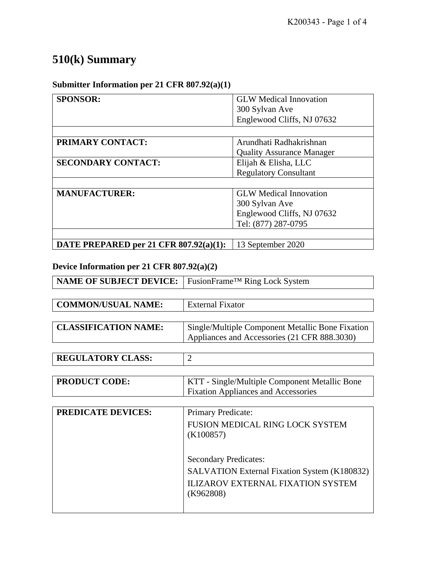# **510(k) Summary**

## **Submitter Information per 21 CFR 807.92(a)(1)**

| <b>SPONSOR:</b>                        | <b>GLW</b> Medical Innovation    |
|----------------------------------------|----------------------------------|
|                                        | 300 Sylvan Ave                   |
|                                        | Englewood Cliffs, NJ 07632       |
|                                        |                                  |
| <b>PRIMARY CONTACT:</b>                | Arundhati Radhakrishnan          |
|                                        | <b>Quality Assurance Manager</b> |
| <b>SECONDARY CONTACT:</b>              | Elijah & Elisha, LLC             |
|                                        | <b>Regulatory Consultant</b>     |
|                                        |                                  |
| <b>MANUFACTURER:</b>                   | <b>GLW</b> Medical Innovation    |
|                                        | 300 Sylvan Ave                   |
|                                        | Englewood Cliffs, NJ 07632       |
|                                        | Tel: (877) 287-0795              |
|                                        |                                  |
| DATE PREPARED per 21 CFR 807.92(a)(1): | 13 September 2020                |

## **Device Information per 21 CFR 807.92(a)(2)**

| <b>NAME OF SUBJECT DEVICE:</b> | FusionFrame™ Ring Lock System                    |
|--------------------------------|--------------------------------------------------|
|                                |                                                  |
| <b>COMMON/USUAL NAME:</b>      | External Fixator                                 |
|                                |                                                  |
| <b>CLASSIFICATION NAME:</b>    | Single/Multiple Component Metallic Bone Fixation |
|                                | Appliances and Accessories (21 CFR 888.3030)     |
|                                |                                                  |
| <b>REGULATORY CLASS:</b>       | $\mathcal{D}_{\mathcal{A}}$                      |
|                                |                                                  |
| <b>PRODUCT CODE:</b>           | KTT - Single/Multiple Component Metallic Bone    |
|                                | <b>Fixation Appliances and Accessories</b>       |

| <b>PREDICATE DEVICES:</b> | Primary Predicate:                                                                                                                    |
|---------------------------|---------------------------------------------------------------------------------------------------------------------------------------|
|                           | FUSION MEDICAL RING LOCK SYSTEM<br>(K100857)                                                                                          |
|                           | <b>Secondary Predicates:</b><br>SALVATION External Fixation System (K180832)<br><b>ILIZAROV EXTERNAL FIXATION SYSTEM</b><br>(K962808) |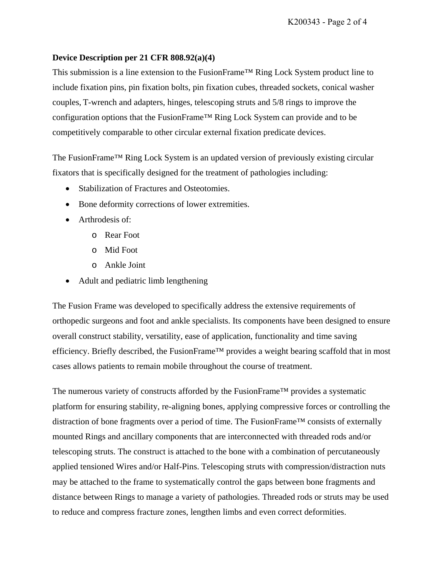#### **Device Description per 21 CFR 808.92(a)(4)**

This submission is a line extension to the FusionFrame™ Ring Lock System product line to include fixation pins, pin fixation bolts, pin fixation cubes, threaded sockets, conical washer couples, T-wrench and adapters, hinges, telescoping struts and 5/8 rings to improve the configuration options that the FusionFrame™ Ring Lock System can provide and to be competitively comparable to other circular external fixation predicate devices.

The FusionFrame™ Ring Lock System is an updated version of previously existing circular fixators that is specifically designed for the treatment of pathologies including:

- Stabilization of Fractures and Osteotomies.
- Bone deformity corrections of lower extremities.
- Arthrodesis of:
	- o Rear Foot
	- o Mid Foot
	- o Ankle Joint
- Adult and pediatric limb lengthening

The Fusion Frame was developed to specifically address the extensive requirements of orthopedic surgeons and foot and ankle specialists. Its components have been designed to ensure overall construct stability, versatility, ease of application, functionality and time saving efficiency. Briefly described, the FusionFrame™ provides a weight bearing scaffold that in most cases allows patients to remain mobile throughout the course of treatment.

The numerous variety of constructs afforded by the FusionFrame™ provides a systematic platform for ensuring stability, re-aligning bones, applying compressive forces or controlling the distraction of bone fragments over a period of time. The FusionFrame™ consists of externally mounted Rings and ancillary components that are interconnected with threaded rods and/or telescoping struts. The construct is attached to the bone with a combination of percutaneously applied tensioned Wires and/or Half-Pins. Telescoping struts with compression/distraction nuts may be attached to the frame to systematically control the gaps between bone fragments and distance between Rings to manage a variety of pathologies. Threaded rods or struts may be used to reduce and compress fracture zones, lengthen limbs and even correct deformities.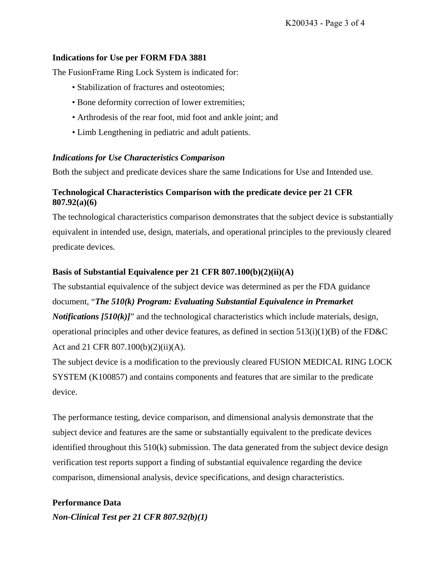#### **Indications for Use per FORM FDA 3881**

The FusionFrame Ring Lock System is indicated for:

- Stabilization of fractures and osteotomies;
- Bone deformity correction of lower extremities;
- Arthrodesis of the rear foot, mid foot and ankle joint; and
- Limb Lengthening in pediatric and adult patients.

#### *Indications for Use Characteristics Comparison*

Both the subject and predicate devices share the same Indications for Use and Intended use.

## **Technological Characteristics Comparison with the predicate device per 21 CFR 807.92(a)(6)**

The technological characteristics comparison demonstrates that the subject device is substantially equivalent in intended use, design, materials, and operational principles to the previously cleared predicate devices.

#### **Basis of Substantial Equivalence per 21 CFR 807.100(b)(2)(ii)(A)**

The substantial equivalence of the subject device was determined as per the FDA guidance document, "*The 510(k) Program: Evaluating Substantial Equivalence in Premarket Notifications*  $[510(k)]$ " and the technological characteristics which include materials, design, operational principles and other device features, as defined in section 513(i)(1)(B) of the FD&C Act and 21 CFR 807.100(b)(2)(ii)(A).

The subject device is a modification to the previously cleared FUSION MEDICAL RING LOCK SYSTEM (K100857) and contains components and features that are similar to the predicate device.

The performance testing, device comparison, and dimensional analysis demonstrate that the subject device and features are the same or substantially equivalent to the predicate devices identified throughout this 510(k) submission. The data generated from the subject device design verification test reports support a finding of substantial equivalence regarding the device comparison, dimensional analysis, device specifications, and design characteristics.

**Performance Data**  *Non-Clinical Test per 21 CFR 807.92(b)(1)*